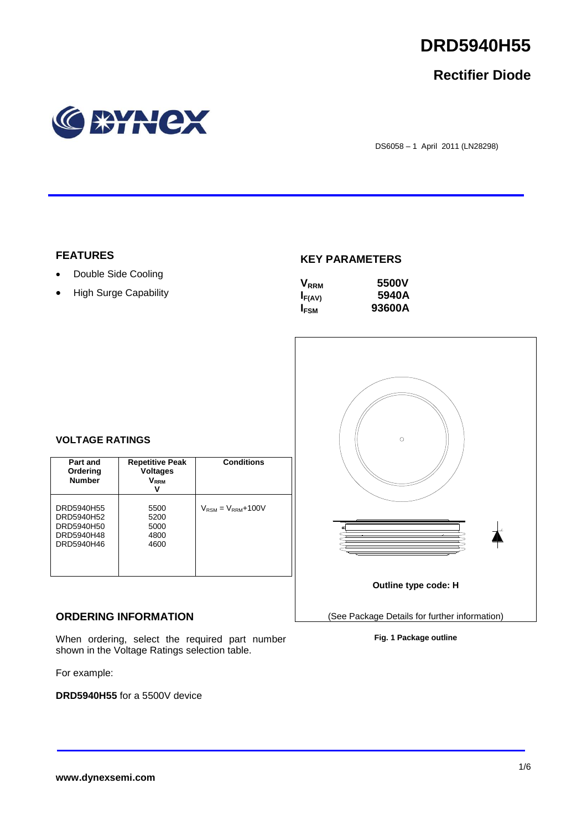

## **Rectifier Diode**



DS6058 – 1 April 2011 (LN28298)

## **FEATURES**

- Double Side Cooling
- High Surge Capability

## **KEY PARAMETERS**

| $\mathsf{V}_{\scriptscriptstyle\sf RRM}$ | 5500V  |
|------------------------------------------|--------|
| $I_{F(AV)}$                              | 5940A  |
| <b>IFSM</b>                              | 93600A |



## **VOLTAGE RATINGS**

| Part and<br>Ordering<br><b>Number</b>                              | <b>Repetitive Peak</b><br><b>Voltages</b><br>V <sub>rrm</sub><br>v | <b>Conditions</b>                        |
|--------------------------------------------------------------------|--------------------------------------------------------------------|------------------------------------------|
| DRD5940H55<br>DRD5940H52<br>DRD5940H50<br>DRD5940H48<br>DRD5940H46 | 5500<br>5200<br>5000<br>4800<br>4600                               | $V_{\text{RSM}} = V_{\text{RRM}} + 100V$ |

## **ORDERING INFORMATION**

When ordering, select the required part number shown in the Voltage Ratings selection table.

For example:

**DRD5940H55** for a 5500V device

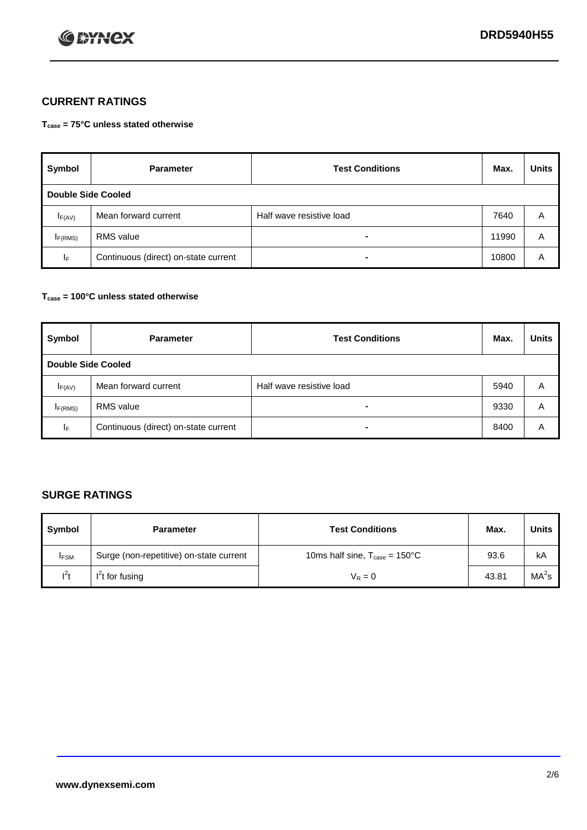

## **CURRENT RATINGS**

**Tcase = 75°C unless stated otherwise**

| Symbol              | <b>Parameter</b>                     | <b>Test Conditions</b>   | Max.  | <b>Units</b> |  |  |
|---------------------|--------------------------------------|--------------------------|-------|--------------|--|--|
|                     | Double Side Cooled                   |                          |       |              |  |  |
| $I_{F(AV)}$         | Mean forward current                 | Half wave resistive load | 7640  | A            |  |  |
| I <sub>F(RMS)</sub> | <b>RMS</b> value                     | -                        | 11990 | A            |  |  |
| IF.                 | Continuous (direct) on-state current | -                        | 10800 | A            |  |  |

## **Tcase = 100°C unless stated otherwise**

| Symbol              | <b>Parameter</b>                     | <b>Test Conditions</b>   | Max. | <b>Units</b> |  |  |
|---------------------|--------------------------------------|--------------------------|------|--------------|--|--|
|                     | <b>Double Side Cooled</b>            |                          |      |              |  |  |
| $I_{F(AV)}$         | Mean forward current                 | Half wave resistive load | 5940 | Α            |  |  |
| I <sub>F(RMS)</sub> | <b>RMS</b> value                     | $\overline{\phantom{0}}$ | 9330 | A            |  |  |
| IF                  | Continuous (direct) on-state current | ۰                        | 8400 | A            |  |  |

## **SURGE RATINGS**

| Symbol      | <b>Parameter</b>                        | <b>Test Conditions</b>                            | Max.  | <b>Units</b>      |
|-------------|-----------------------------------------|---------------------------------------------------|-------|-------------------|
| <b>IFSM</b> | Surge (non-repetitive) on-state current | 10ms half sine, $T_{\text{case}} = 150^{\circ}$ C | 93.6  | kA                |
| $l^2t$      | I <sup>'</sup> t for fusing             | $V_R = 0$                                         | 43.81 | MA <sup>2</sup> s |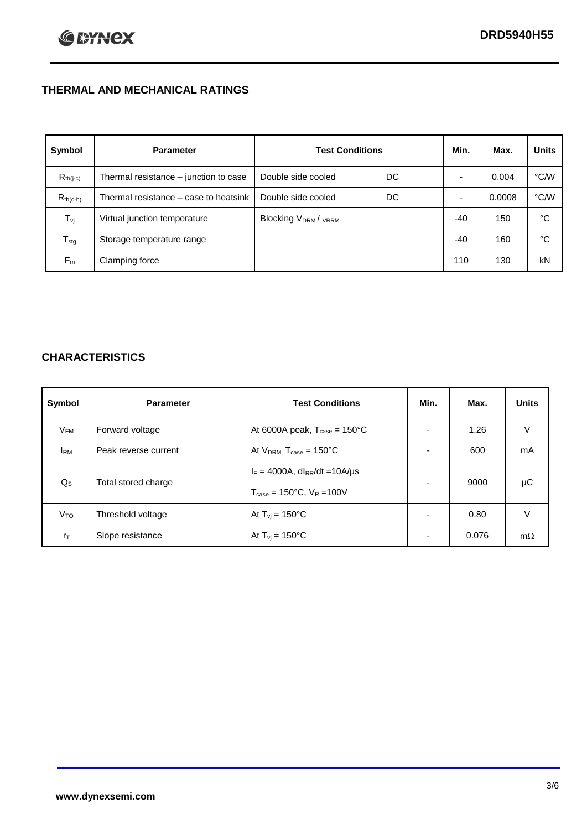## **THERMAL AND MECHANICAL RATINGS**

| Symbol           | <b>Parameter</b>                      | <b>Test Conditions</b>                      |    | Min.  | Max.   | <b>Units</b> |
|------------------|---------------------------------------|---------------------------------------------|----|-------|--------|--------------|
| $R_{th(j-c)}$    | Thermal resistance - junction to case | Double side cooled                          | DC |       | 0.004  | °C∕W         |
| $R_{th(c-h)}$    | Thermal resistance – case to heatsink | Double side cooled                          | DC |       | 0.0008 | °C/W         |
| $T_{\rm vj}$     | Virtual junction temperature          | Blocking V <sub>DRM</sub> / <sub>VRRM</sub> |    | -40   | 150    | °C           |
| $T_{\text{stg}}$ | Storage temperature range             |                                             |    | $-40$ | 160    | °C           |
| $F_m$            | Clamping force                        |                                             |    | 110   | 130    | kN           |

## **CHARACTERISTICS**

| Symbol                   | <b>Parameter</b>     | <b>Test Conditions</b>                           | Min.           | Max.  | <b>Units</b> |
|--------------------------|----------------------|--------------------------------------------------|----------------|-------|--------------|
| $\mathsf{V}_\mathsf{FM}$ | Forward voltage      | At 6000A peak, $T_{\text{case}} = 150^{\circ}$ C |                | 1.26  | V            |
| <b>I</b> <sub>RM</sub>   | Peak reverse current | At $V_{DRM}$ , $T_{case} = 150^{\circ}$ C        | ۰              | 600   | mA           |
| $Q_{\rm S}$              | Total stored charge  | $I_F = 4000A$ , dl <sub>RR</sub> /dt = 10A/us    | $\blacksquare$ | 9000  | μC           |
|                          |                      | $T_{\text{case}} = 150^{\circ}$ C, $V_R = 100V$  |                |       |              |
| V <sub>TO</sub>          | Threshold voltage    | At $T_{vi} = 150^{\circ}$ C                      | $\blacksquare$ | 0.80  | V            |
| $r_{\text{T}}$           | Slope resistance     | At $T_{vi} = 150^{\circ}$ C                      | ۰              | 0.076 | $m\Omega$    |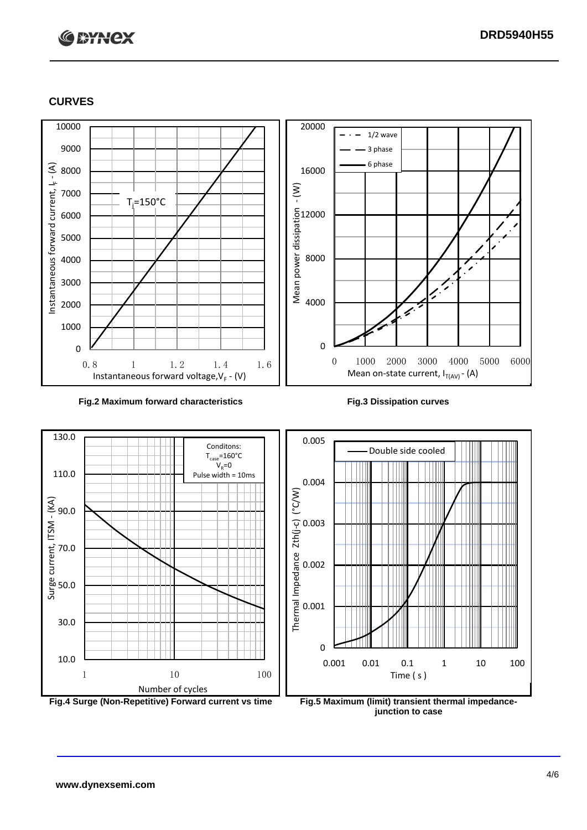# **C BYNCX**

## **CURVES**



### **Fig.2 Maximum forward characteristics Fig.3 Dissipation curves**



**junction to case**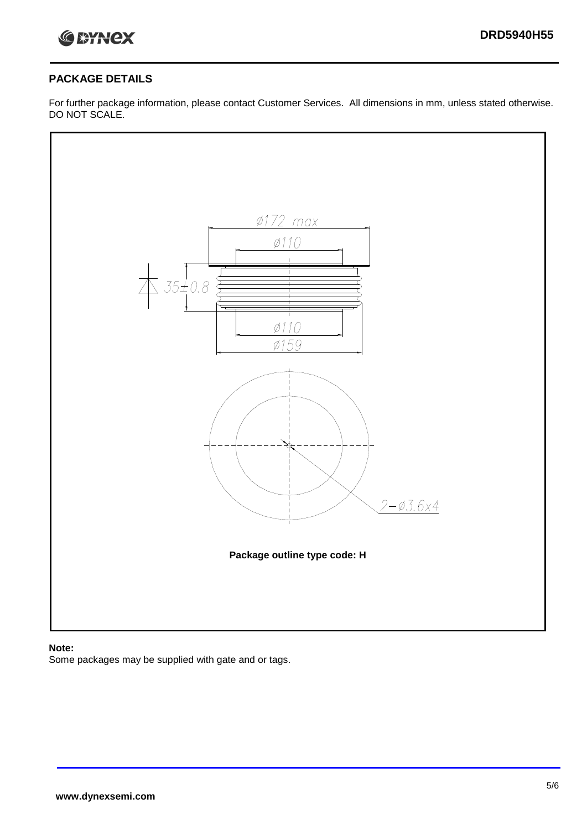

## **PACKAGE DETAILS**

For further package information, please contact Customer Services. All dimensions in mm, unless stated otherwise. DO NOT SCALE.



## **Note:**

Some packages may be supplied with gate and or tags.